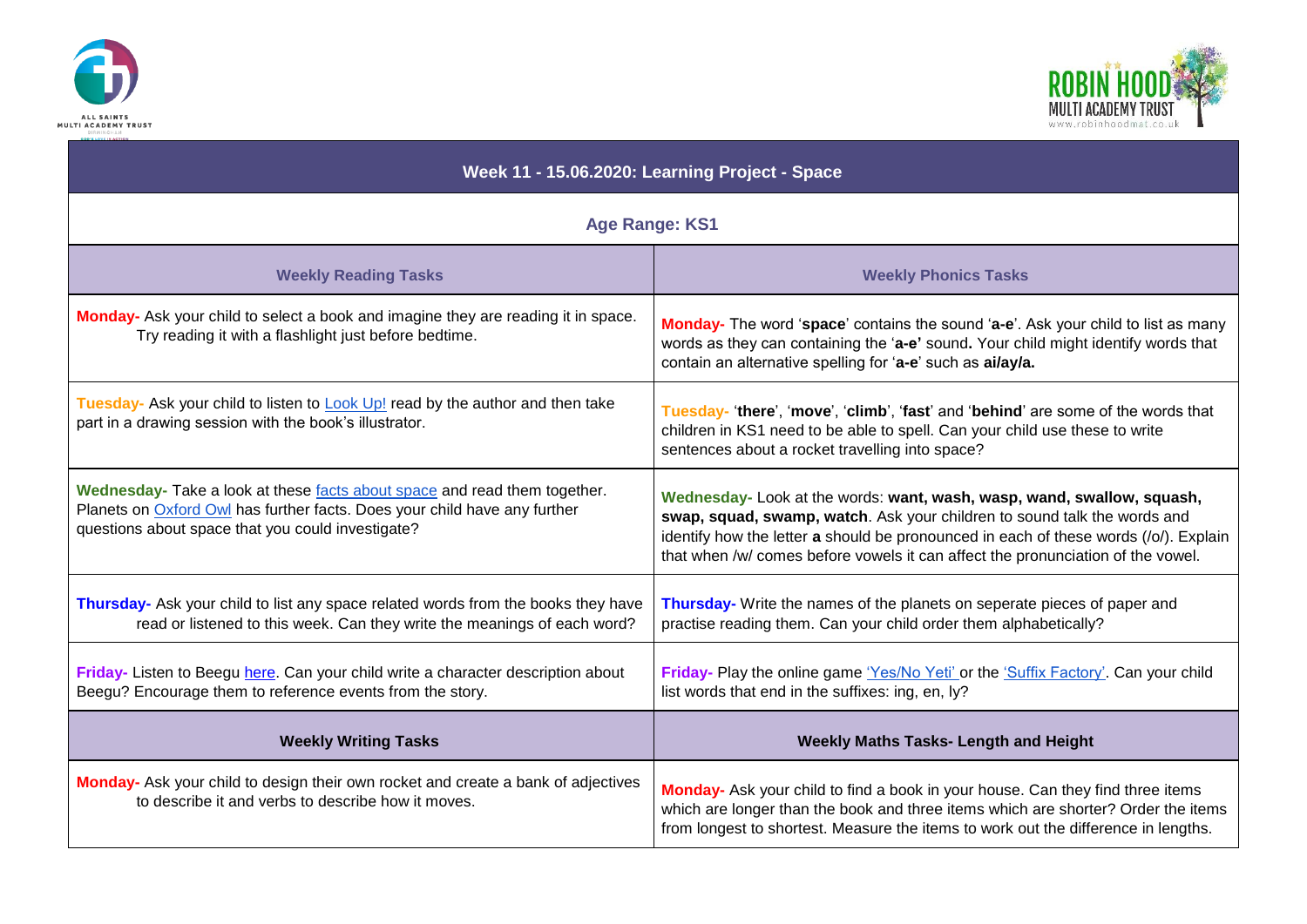



| Week 11 - 15.06.2020: Learning Project - Space                                                                                                                                                              |                                                                                                                                                                                                                                                                                                                               |
|-------------------------------------------------------------------------------------------------------------------------------------------------------------------------------------------------------------|-------------------------------------------------------------------------------------------------------------------------------------------------------------------------------------------------------------------------------------------------------------------------------------------------------------------------------|
| <b>Age Range: KS1</b>                                                                                                                                                                                       |                                                                                                                                                                                                                                                                                                                               |
| <b>Weekly Reading Tasks</b>                                                                                                                                                                                 | <b>Weekly Phonics Tasks</b>                                                                                                                                                                                                                                                                                                   |
| Monday- Ask your child to select a book and imagine they are reading it in space.<br>Try reading it with a flashlight just before bedtime.                                                                  | Monday- The word 'space' contains the sound 'a-e'. Ask your child to list as many<br>words as they can containing the 'a-e' sound. Your child might identify words that<br>contain an alternative spelling for 'a-e' such as ai/ay/a.                                                                                         |
| Tuesday- Ask your child to listen to <b>Look Up!</b> read by the author and then take<br>part in a drawing session with the book's illustrator.                                                             | Tuesday-'there', 'move', 'climb', 'fast' and 'behind' are some of the words that<br>children in KS1 need to be able to spell. Can your child use these to write<br>sentences about a rocket travelling into space?                                                                                                            |
| Wednesday- Take a look at these facts about space and read them together.<br>Planets on Oxford Owl has further facts. Does your child have any further<br>questions about space that you could investigate? | Wednesday- Look at the words: want, wash, wasp, wand, swallow, squash,<br>swap, squad, swamp, watch. Ask your children to sound talk the words and<br>identify how the letter a should be pronounced in each of these words (/o/). Explain<br>that when /w/ comes before vowels it can affect the pronunciation of the vowel. |
| Thursday- Ask your child to list any space related words from the books they have<br>read or listened to this week. Can they write the meanings of each word?                                               | Thursday- Write the names of the planets on seperate pieces of paper and<br>practise reading them. Can your child order them alphabetically?                                                                                                                                                                                  |
| Friday- Listen to Beegu here. Can your child write a character description about<br>Beegu? Encourage them to reference events from the story.                                                               | Friday- Play the online game 'Yes/No Yeti' or the 'Suffix Factory'. Can your child<br>list words that end in the suffixes: ing, en, ly?                                                                                                                                                                                       |
| <b>Weekly Writing Tasks</b>                                                                                                                                                                                 | <b>Weekly Maths Tasks- Length and Height</b>                                                                                                                                                                                                                                                                                  |
| Monday- Ask your child to design their own rocket and create a bank of adjectives<br>to describe it and verbs to describe how it moves.                                                                     | Monday- Ask your child to find a book in your house. Can they find three items<br>which are longer than the book and three items which are shorter? Order the items<br>from longest to shortest. Measure the items to work out the difference in lengths.                                                                     |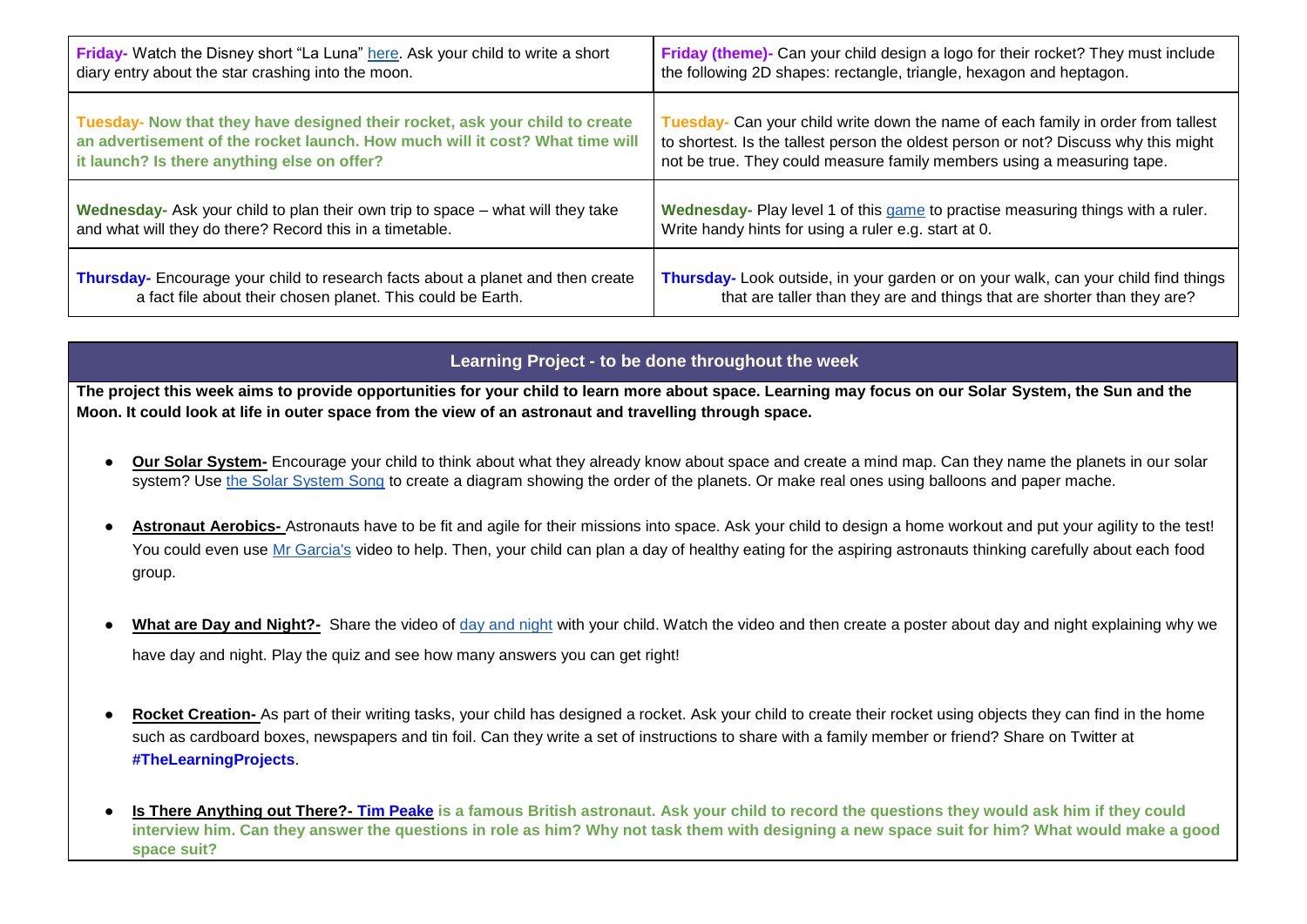| Friday- Watch the Disney short "La Luna" here. Ask your child to write a short  | Friday (theme)- Can your child design a logo for their rocket? They must include    |
|---------------------------------------------------------------------------------|-------------------------------------------------------------------------------------|
| diary entry about the star crashing into the moon.                              | the following 2D shapes: rectangle, triangle, hexagon and heptagon.                 |
| Tuesday- Now that they have designed their rocket, ask your child to create     | Tuesday- Can your child write down the name of each family in order from tallest    |
| an advertisement of the rocket launch. How much will it cost? What time will    | to shortest. Is the tallest person the oldest person or not? Discuss why this might |
| it launch? Is there anything else on offer?                                     | not be true. They could measure family members using a measuring tape.              |
| Wednesday- Ask your child to plan their own trip to space – what will they take | Wednesday- Play level 1 of this game to practise measuring things with a ruler.     |
| and what will they do there? Record this in a timetable.                        | Write handy hints for using a ruler e.g. start at 0.                                |
| Thursday- Encourage your child to research facts about a planet and then create | Thursday- Look outside, in your garden or on your walk, can your child find things  |
| a fact file about their chosen planet. This could be Earth.                     | that are taller than they are and things that are shorter than they are?            |

## **Learning Project - to be done throughout the week**

**The project this week aims to provide opportunities for your child to learn more about space. Learning may focus on our Solar System, the Sun and the Moon. It could look at life in outer space from the view of an astronaut and travelling through space.** 

- **Our Solar System-** Encourage your child to think about what they already know about space and create a mind map. Can they name the planets in our solar system? Use [the Solar System Song](https://safeyoutube.net/w/4Nl6) to create a diagram showing the order of the planets. Or make real ones using balloons and paper mache.
- Astronaut Aerobics- Astronauts have to be fit and agile for their missions into space. Ask your child to design a home workout and put your agility to the test! You could even use [Mr Garcia's](https://safeyoutube.net/w/yCV3) video to help. Then, your child can plan a day of healthy eating for the aspiring astronauts thinking carefully about each food group.
- What are Day and Night?- Share the video of [day and night](https://www.bbc.co.uk/bitesize/topics/zkvv4wx/articles/ztdnyrd) [w](https://www.bbc.co.uk/bitesize/topics/zkvv4wx/articles/ztdnyrd)ith your child. Watch the video and then create a poster about day and night explaining why we have day and night. Play the quiz and see how many answers you can get right!
- Rocket Creation- As part of their writing tasks, your child has designed a rocket. Ask your child to create their rocket using objects they can find in the home such as cardboard boxes, newspapers and tin foil. Can they write a set of instructions to share with a family member or friend? Share on Twitter at **#TheLearningProjects**.
- **Is There Anything out There?- [Tim Peake](https://www.bbc.co.uk/bitesize/topics/zw44jxs/articles/z822hv4)** is a famous British astronaut. Ask your child to record the questions they would ask him if they could **interview him. Can they answer the questions in role as him? Why not task them with designing a new space suit for him? What would make a good space suit?**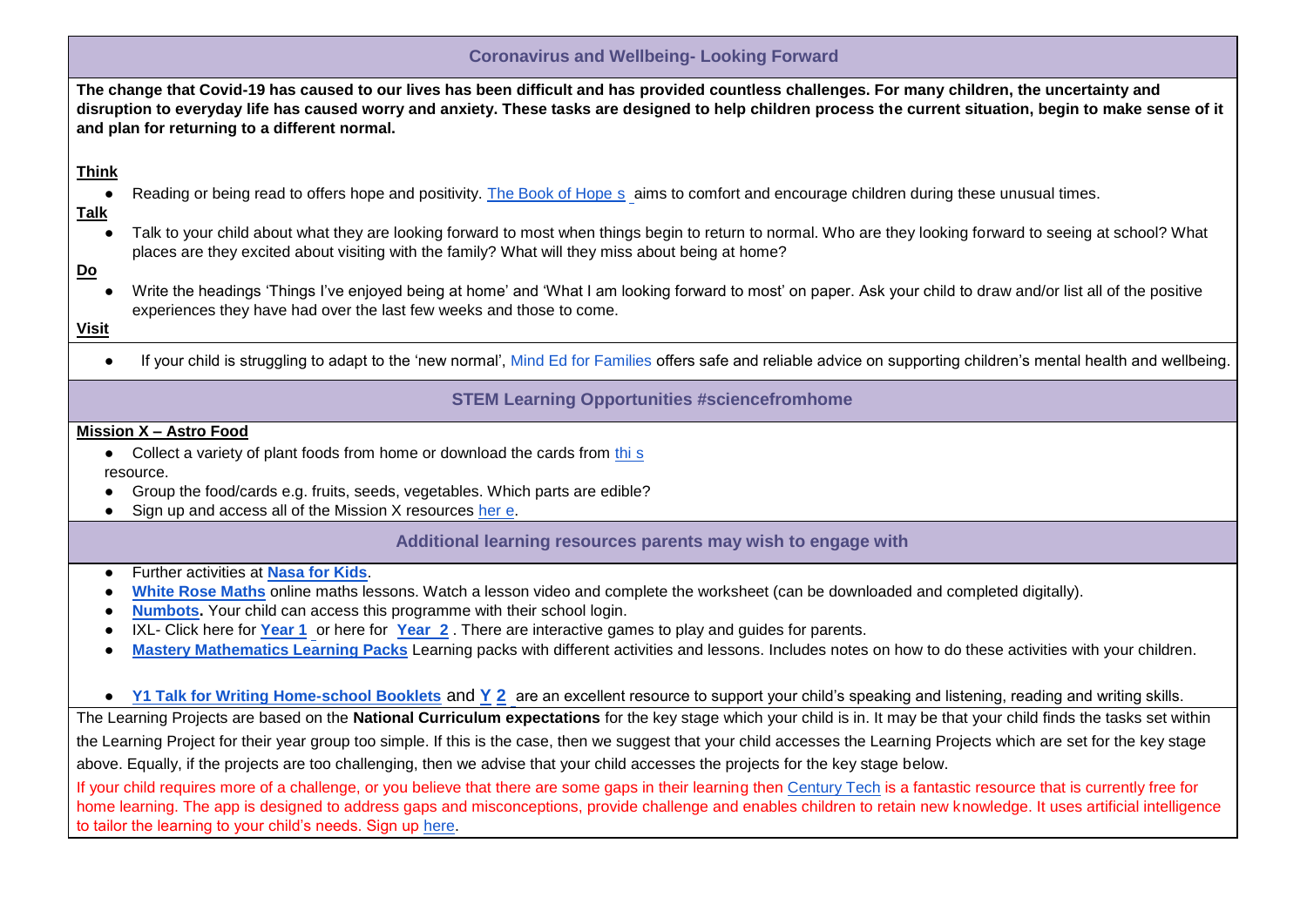| <b>Coronavirus and Wellbeing- Looking Forward</b>                                                                                                                      |                                                                                                                                                                                                                                                                                                                                                                    |  |
|------------------------------------------------------------------------------------------------------------------------------------------------------------------------|--------------------------------------------------------------------------------------------------------------------------------------------------------------------------------------------------------------------------------------------------------------------------------------------------------------------------------------------------------------------|--|
|                                                                                                                                                                        | The change that Covid-19 has caused to our lives has been difficult and has provided countless challenges. For many children, the uncertainty and<br>disruption to everyday life has caused worry and anxiety. These tasks are designed to help children process the current situation, begin to make sense of it<br>and plan for returning to a different normal. |  |
| <b>Think</b>                                                                                                                                                           |                                                                                                                                                                                                                                                                                                                                                                    |  |
| <b>Talk</b>                                                                                                                                                            | Reading or being read to offers hope and positivity. The Book of Hope s aims to comfort and encourage children during these unusual times.                                                                                                                                                                                                                         |  |
|                                                                                                                                                                        | Talk to your child about what they are looking forward to most when things begin to return to normal. Who are they looking forward to seeing at school? What<br>places are they excited about visiting with the family? What will they miss about being at home?                                                                                                   |  |
| <u>Do</u><br>$\bullet$<br><b>Visit</b>                                                                                                                                 | Write the headings 'Things I've enjoyed being at home' and 'What I am looking forward to most' on paper. Ask your child to draw and/or list all of the positive<br>experiences they have had over the last few weeks and those to come.                                                                                                                            |  |
|                                                                                                                                                                        | If your child is struggling to adapt to the 'new normal', Mind Ed for Families offers safe and reliable advice on supporting children's mental health and wellbeing.                                                                                                                                                                                               |  |
|                                                                                                                                                                        | <b>STEM Learning Opportunities #sciencefromhome</b>                                                                                                                                                                                                                                                                                                                |  |
|                                                                                                                                                                        | <b>Mission X - Astro Food</b>                                                                                                                                                                                                                                                                                                                                      |  |
|                                                                                                                                                                        | • Collect a variety of plant foods from home or download the cards from this                                                                                                                                                                                                                                                                                       |  |
|                                                                                                                                                                        | resource.                                                                                                                                                                                                                                                                                                                                                          |  |
|                                                                                                                                                                        | Group the food/cards e.g. fruits, seeds, vegetables. Which parts are edible?<br>Sign up and access all of the Mission X resources her e.                                                                                                                                                                                                                           |  |
|                                                                                                                                                                        |                                                                                                                                                                                                                                                                                                                                                                    |  |
|                                                                                                                                                                        | Additional learning resources parents may wish to engage with                                                                                                                                                                                                                                                                                                      |  |
|                                                                                                                                                                        | Further activities at Nasa for Kids.                                                                                                                                                                                                                                                                                                                               |  |
|                                                                                                                                                                        | White Rose Maths online maths lessons. Watch a lesson video and complete the worksheet (can be downloaded and completed digitally).                                                                                                                                                                                                                                |  |
|                                                                                                                                                                        | <b>Numbots.</b> Your child can access this programme with their school login.                                                                                                                                                                                                                                                                                      |  |
|                                                                                                                                                                        | IXL- Click here for Year 1 or here for Year 2. There are interactive games to play and guides for parents.<br>Mastery Mathematics Learning Packs Learning packs with different activities and lessons. Includes notes on how to do these activities with your children.                                                                                            |  |
|                                                                                                                                                                        |                                                                                                                                                                                                                                                                                                                                                                    |  |
|                                                                                                                                                                        | • Y1 Talk for Writing Home-school Booklets and Y 2 are an excellent resource to support your child's speaking and listening, reading and writing skills.                                                                                                                                                                                                           |  |
|                                                                                                                                                                        | The Learning Projects are based on the National Curriculum expectations for the key stage which your child is in. It may be that your child finds the tasks set within                                                                                                                                                                                             |  |
|                                                                                                                                                                        | the Learning Project for their year group too simple. If this is the case, then we suggest that your child accesses the Learning Projects which are set for the key stage                                                                                                                                                                                          |  |
|                                                                                                                                                                        | above. Equally, if the projects are too challenging, then we advise that your child accesses the projects for the key stage below.                                                                                                                                                                                                                                 |  |
|                                                                                                                                                                        | If your child requires more of a challenge, or you believe that there are some gaps in their learning then Century Tech is a fantastic resource that is currently free for                                                                                                                                                                                         |  |
| home learning. The app is designed to address gaps and misconceptions, provide challenge and enables children to retain new knowledge. It uses artificial intelligence |                                                                                                                                                                                                                                                                                                                                                                    |  |
|                                                                                                                                                                        | to tailor the learning to your child's needs. Sign up here.                                                                                                                                                                                                                                                                                                        |  |
|                                                                                                                                                                        |                                                                                                                                                                                                                                                                                                                                                                    |  |
|                                                                                                                                                                        |                                                                                                                                                                                                                                                                                                                                                                    |  |